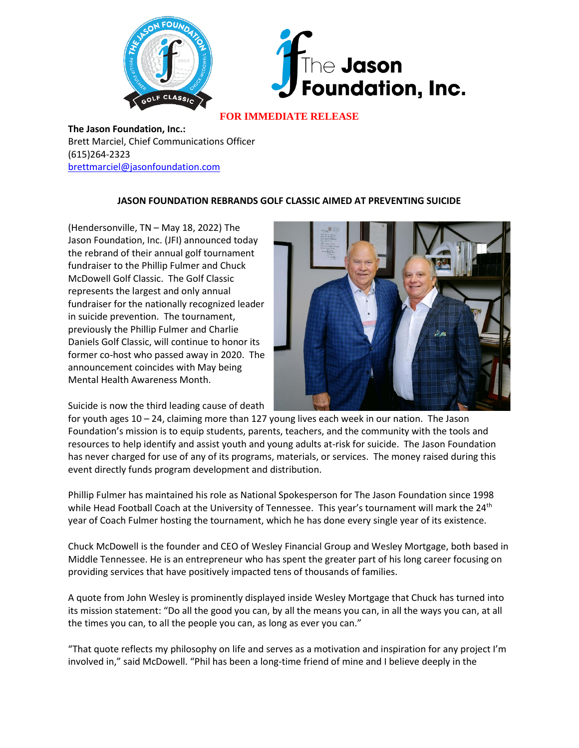



## **FOR IMMEDIATE RELEASE**

**The Jason Foundation, Inc.:** Brett Marciel, Chief Communications Officer (615)264-2323 [brettmarciel@jasonfoundation.com](mailto:brettmarciel@jasonfoundation.com)

## **JASON FOUNDATION REBRANDS GOLF CLASSIC AIMED AT PREVENTING SUICIDE**

(Hendersonville, TN – May 18, 2022) The Jason Foundation, Inc. (JFI) announced today the rebrand of their annual golf tournament fundraiser to the Phillip Fulmer and Chuck McDowell Golf Classic. The Golf Classic represents the largest and only annual fundraiser for the nationally recognized leader in suicide prevention. The tournament, previously the Phillip Fulmer and Charlie Daniels Golf Classic, will continue to honor its former co-host who passed away in 2020. The announcement coincides with May being Mental Health Awareness Month.



Suicide is now the third leading cause of death

for youth ages 10 – 24, claiming more than 127 young lives each week in our nation. The Jason Foundation's mission is to equip students, parents, teachers, and the community with the tools and resources to help identify and assist youth and young adults at-risk for suicide. The Jason Foundation has never charged for use of any of its programs, materials, or services. The money raised during this event directly funds program development and distribution.

Phillip Fulmer has maintained his role as National Spokesperson for The Jason Foundation since 1998 while Head Football Coach at the University of Tennessee. This year's tournament will mark the 24<sup>th</sup> year of Coach Fulmer hosting the tournament, which he has done every single year of its existence.

Chuck McDowell is the founder and CEO of Wesley Financial Group and Wesley Mortgage, both based in Middle Tennessee. He is an entrepreneur who has spent the greater part of his long career focusing on providing services that have positively impacted tens of thousands of families.

A quote from John Wesley is prominently displayed inside Wesley Mortgage that Chuck has turned into its mission statement: "Do all the good you can, by all the means you can, in all the ways you can, at all the times you can, to all the people you can, as long as ever you can."

"That quote reflects my philosophy on life and serves as a motivation and inspiration for any project I'm involved in," said McDowell. "Phil has been a long-time friend of mine and I believe deeply in the